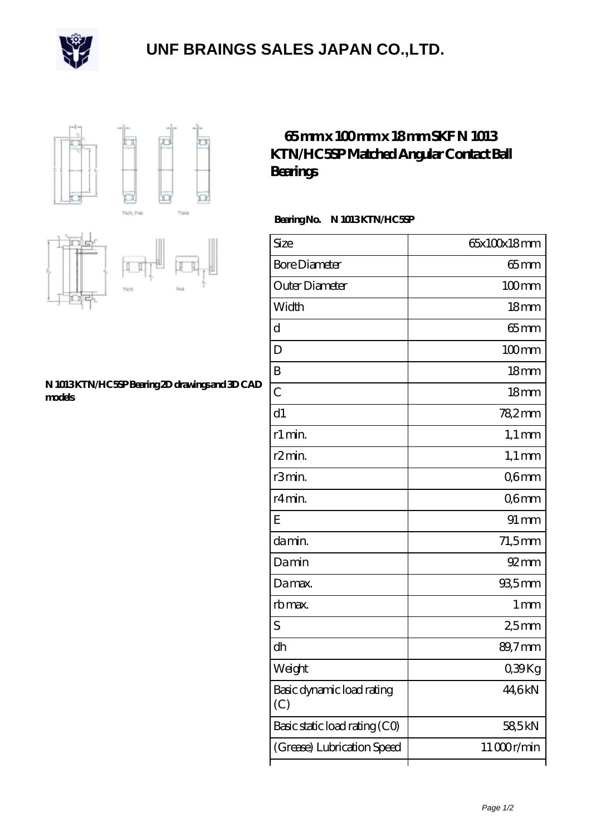

## **[UNF BRAINGS SALES JAPAN CO.,LTD.](https://m.fotosdetatuajes.org)**





## **[N 1013 KTN/HC5SP Bearing 2D drawings and 3D CAD](https://m.fotosdetatuajes.org/pic-144947.html) [models](https://m.fotosdetatuajes.org/pic-144947.html)**

## **[65 mm x 100 mm x 18 mm SKF N 1013](https://m.fotosdetatuajes.org/aw-144947-skf-n-1013-ktn-hc5sp-matched-angular-contact-ball-bearings.html) [KTN/HC5SP Matched Angular Contact Ball](https://m.fotosdetatuajes.org/aw-144947-skf-n-1013-ktn-hc5sp-matched-angular-contact-ball-bearings.html) [Bearings](https://m.fotosdetatuajes.org/aw-144947-skf-n-1013-ktn-hc5sp-matched-angular-contact-ball-bearings.html)**

 **Bearing No. N 1013 KTN/HC5SP**

| Size                             | 65x100x18mm        |
|----------------------------------|--------------------|
| <b>Bore Diameter</b>             | 65mm               |
| Outer Diameter                   | $100$ mm           |
| Width                            | 18mm               |
| d                                | $65 \text{mm}$     |
| D                                | $100$ mm           |
| B                                | 18mm               |
| $\mathcal{C}$                    | 18 <sub>mm</sub>   |
| d1                               | 78,2mm             |
| r1 min.                          | $1,1 \text{ mm}$   |
| r <sub>2</sub> min.              | $1,1 \text{ mm}$   |
| r3min.                           | Q6mm               |
| r4min.                           | Q6mm               |
| Ε                                | $91 \,\mathrm{mm}$ |
| damin.                           | $71,5$ mm          |
| Damin                            | $92 \text{mm}$     |
| Damax.                           | $935$ mm           |
| rb max.                          | 1 <sub>mm</sub>    |
| S                                | 25mm               |
| dh                               | 89,7mm             |
| Weight                           | 039Kg              |
| Basic dynamic load rating<br>(C) | 44,6kN             |
| Basic static load rating (CO)    | 58,5kN             |
| (Grease) Lubrication Speed       | 11000r/min         |
|                                  |                    |